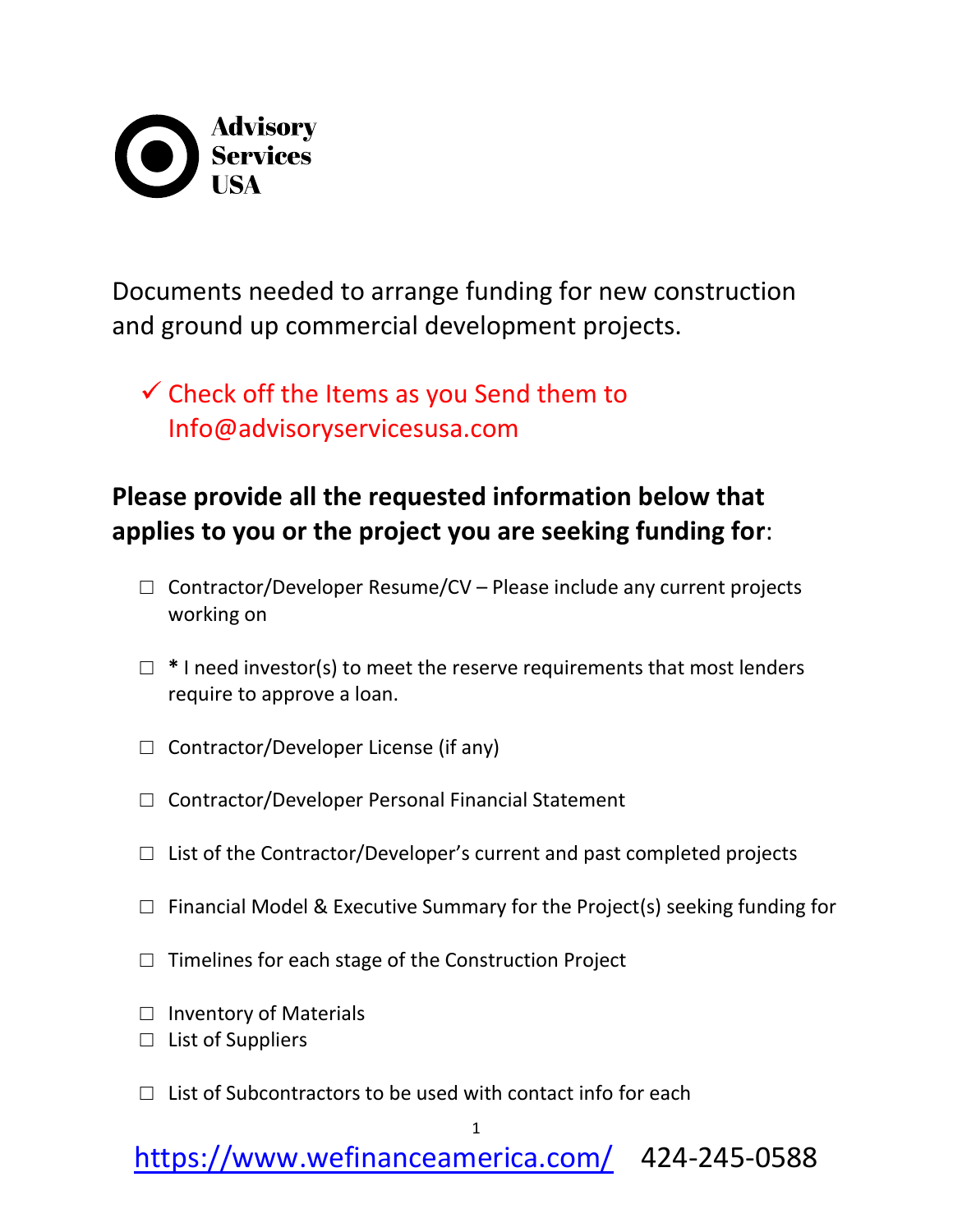## **Advisory<br>Services**

Documents needed to arrange funding for new construction and ground up commercial development projects.

 $\checkmark$  Check off the Items as you Send them to Info@advisoryservicesusa.com

## **Please provide all the requested information below that applies to you or the project you are seeking funding for**:

- $\Box$  Contractor/Developer Resume/CV Please include any current projects working on
- □ **\*** I need investor(s) to meet the reserve requirements that most lenders require to approve a loan.
- $\Box$  Contractor/Developer License (if any)
- □ Contractor/Developer Personal Financial Statement
- $\Box$  List of the Contractor/Developer's current and past completed projects
- $\Box$  Financial Model & Executive Summary for the Project(s) seeking funding for
- $\Box$  Timelines for each stage of the Construction Project
- □ Inventory of Materials
- □ List of Suppliers
- $\Box$  List of Subcontractors to be used with contact info for each

1

<https://www.wefinanceamerica.com/>424-245-0588